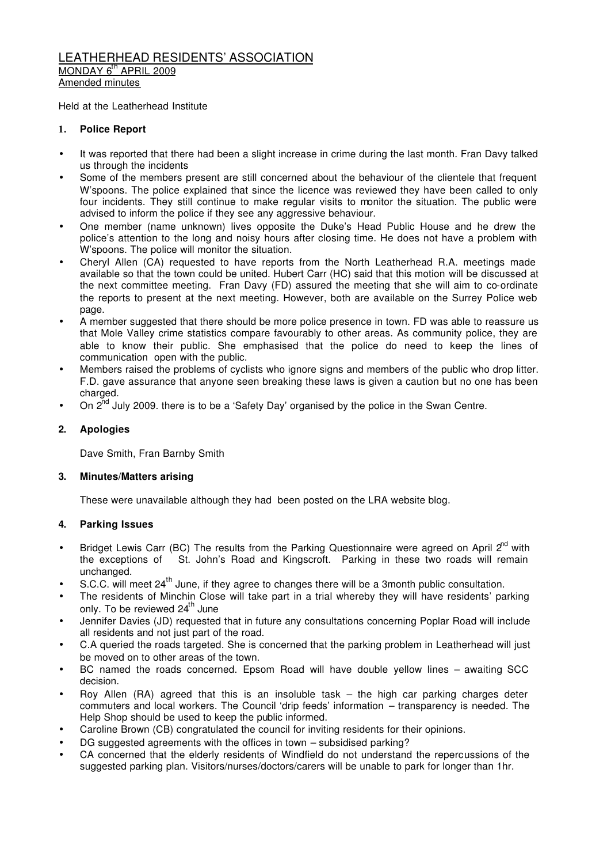#### LEATHERHEAD RESIDENTS' ASSOCIATION MONDAY 6<sup>th</sup> APRIL 2009 Amended minutes

Held at the Leatherhead Institute

### **1. Police Report**

- It was reported that there had been a slight increase in crime during the last month. Fran Davy talked us through the incidents
- Some of the members present are still concerned about the behaviour of the clientele that frequent W'spoons. The police explained that since the licence was reviewed they have been called to only four incidents. They still continue to make regular visits to monitor the situation. The public were advised to inform the police if they see any aggressive behaviour.
- One member (name unknown) lives opposite the Duke's Head Public House and he drew the police's attention to the long and noisy hours after closing time. He does not have a problem with W'spoons. The police will monitor the situation.
- Cheryl Allen (CA) requested to have reports from the North Leatherhead R.A. meetings made available so that the town could be united. Hubert Carr (HC) said that this motion will be discussed at the next committee meeting. Fran Davy (FD) assured the meeting that she will aim to co-ordinate the reports to present at the next meeting. However, both are available on the Surrey Police web page.
- A member suggested that there should be more police presence in town. FD was able to reassure us that Mole Valley crime statistics compare favourably to other areas. As community police, they are able to know their public. She emphasised that the police do need to keep the lines of communication open with the public.
- Members raised the problems of cyclists who ignore signs and members of the public who drop litter. F.D. gave assurance that anyone seen breaking these laws is given a caution but no one has been charged.
- On 2<sup>nd</sup> July 2009. there is to be a 'Safety Day' organised by the police in the Swan Centre.

### **2. Apologies**

Dave Smith, Fran Barnby Smith

### **3. Minutes/Matters arising**

These were unavailable although they had been posted on the LRA website blog.

### **4. Parking Issues**

- Bridget Lewis Carr (BC) The results from the Parking Questionnaire were agreed on April 2<sup>nd</sup> with the exceptions of St. John's Road and Kingscroft. Parking in these two roads will remain unchanged.
- S.C.C. will meet 24<sup>th</sup> June, if they agree to changes there will be a 3month public consultation.
- The residents of Minchin Close will take part in a trial whereby they will have residents' parking only. To be reviewed  $24<sup>th</sup>$  June
- Jennifer Davies (JD) requested that in future any consultations concerning Poplar Road will include all residents and not just part of the road.
- C.A queried the roads targeted. She is concerned that the parking problem in Leatherhead will just be moved on to other areas of the town.
- BC named the roads concerned. Epsom Road will have double yellow lines awaiting SCC decision.
- Roy Allen (RA) agreed that this is an insoluble task the high car parking charges deter commuters and local workers. The Council 'drip feeds' information – transparency is needed. The Help Shop should be used to keep the public informed.
- Caroline Brown (CB) congratulated the council for inviting residents for their opinions.
- DG suggested agreements with the offices in town subsidised parking?
- CA concerned that the elderly residents of Windfield do not understand the repercussions of the suggested parking plan. Visitors/nurses/doctors/carers will be unable to park for longer than 1hr.